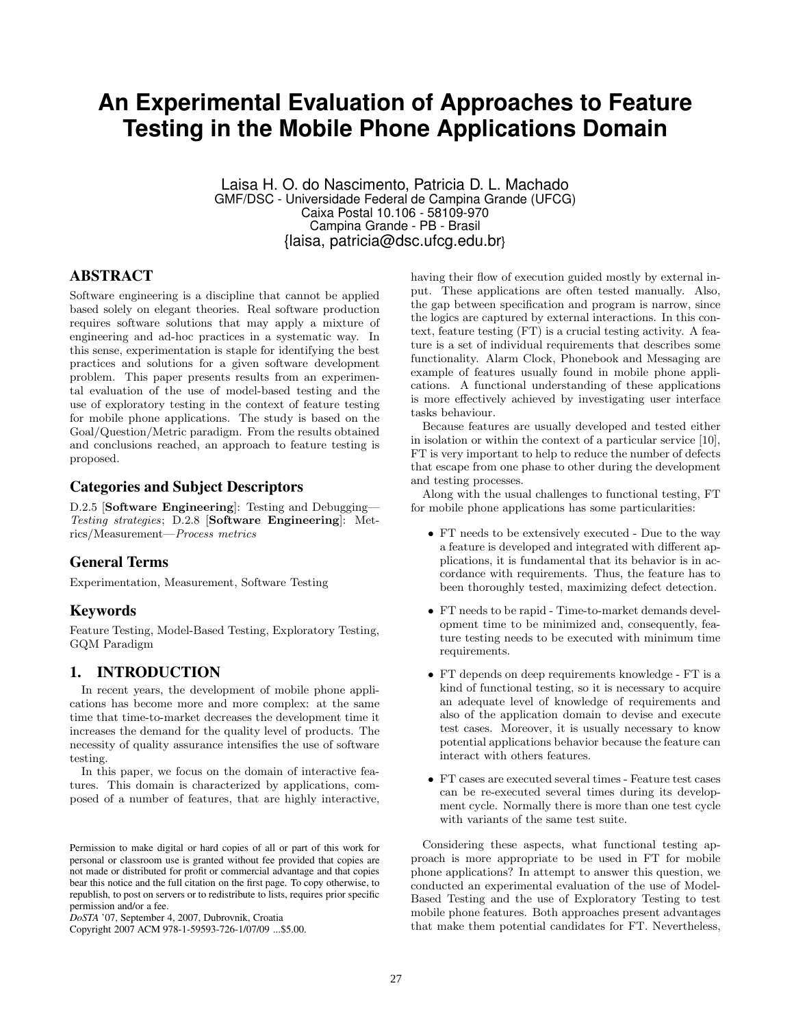# **An Experimental Evaluation of Approaches to Feature Testing in the Mobile Phone Applications Domain**

Laisa H. O. do Nascimento, Patricia D. L. Machado GMF/DSC - Universidade Federal de Campina Grande (UFCG) Caixa Postal 10.106 - 58109-970 Campina Grande - PB - Brasil {laisa, patricia@dsc.ufcg.edu.br}

## ABSTRACT

Software engineering is a discipline that cannot be applied based solely on elegant theories. Real software production requires software solutions that may apply a mixture of engineering and ad-hoc practices in a systematic way. In this sense, experimentation is staple for identifying the best practices and solutions for a given software development problem. This paper presents results from an experimental evaluation of the use of model-based testing and the use of exploratory testing in the context of feature testing for mobile phone applications. The study is based on the Goal/Question/Metric paradigm. From the results obtained and conclusions reached, an approach to feature testing is proposed.

# Categories and Subject Descriptors

D.2.5 [**Software Engineering**]: Testing and Debugging— *Testing strategies*; D.2.8 [**Software Engineering**]: Metrics/Measurement—*Process metrics*

## General Terms

Experimentation, Measurement, Software Testing

## Keywords

Feature Testing, Model-Based Testing, Exploratory Testing, GQM Paradigm

# 1. INTRODUCTION

In recent years, the development of mobile phone applications has become more and more complex: at the same time that time-to-market decreases the development time it increases the demand for the quality level of products. The necessity of quality assurance intensifies the use of software testing.

In this paper, we focus on the domain of interactive features. This domain is characterized by applications, composed of a number of features, that are highly interactive,

Copyright 2007 ACM 978-1-59593-726-1/07/09 ...\$5.00.

having their flow of execution guided mostly by external input. These applications are often tested manually. Also, the gap between specification and program is narrow, since the logics are captured by external interactions. In this context, feature testing (FT) is a crucial testing activity. A feature is a set of individual requirements that describes some functionality. Alarm Clock, Phonebook and Messaging are example of features usually found in mobile phone applications. A functional understanding of these applications is more effectively achieved by investigating user interface tasks behaviour.

Because features are usually developed and tested either in isolation or within the context of a particular service [10], FT is very important to help to reduce the number of defects that escape from one phase to other during the development and testing processes.

Along with the usual challenges to functional testing, FT for mobile phone applications has some particularities:

- FT needs to be extensively executed Due to the way a feature is developed and integrated with different applications, it is fundamental that its behavior is in accordance with requirements. Thus, the feature has to been thoroughly tested, maximizing defect detection.
- FT needs to be rapid Time-to-market demands development time to be minimized and, consequently, feature testing needs to be executed with minimum time requirements.
- FT depends on deep requirements knowledge FT is a kind of functional testing, so it is necessary to acquire an adequate level of knowledge of requirements and also of the application domain to devise and execute test cases. Moreover, it is usually necessary to know potential applications behavior because the feature can interact with others features.
- FT cases are executed several times Feature test cases can be re-executed several times during its development cycle. Normally there is more than one test cycle with variants of the same test suite.

Considering these aspects, what functional testing approach is more appropriate to be used in FT for mobile phone applications? In attempt to answer this question, we conducted an experimental evaluation of the use of Model-Based Testing and the use of Exploratory Testing to test mobile phone features. Both approaches present advantages that make them potential candidates for FT. Nevertheless,

Permission to make digital or hard copies of all or part of this work for personal or classroom use is granted without fee provided that copies are not made or distributed for profit or commercial advantage and that copies bear this notice and the full citation on the first page. To copy otherwise, to republish, to post on servers or to redistribute to lists, requires prior specific permission and/or a fee.

*DoSTA* '07, September 4, 2007, Dubrovnik, Croatia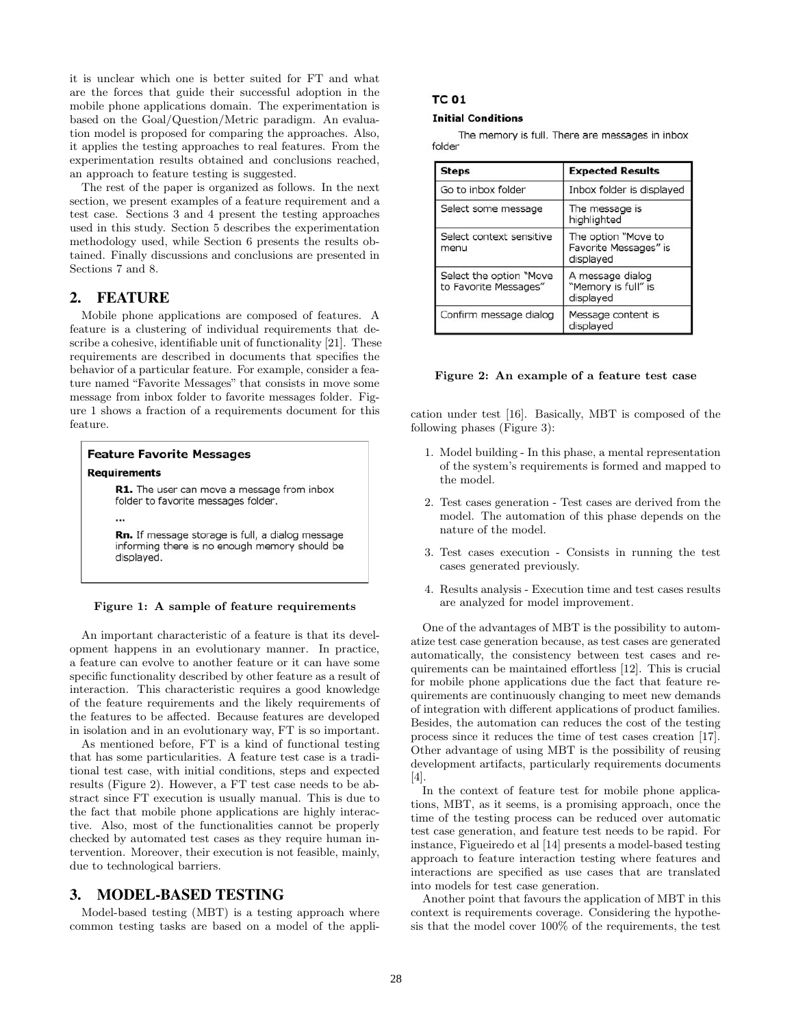it is unclear which one is better suited for FT and what are the forces that guide their successful adoption in the mobile phone applications domain. The experimentation is based on the Goal/Question/Metric paradigm. An evaluation model is proposed for comparing the approaches. Also, it applies the testing approaches to real features. From the experimentation results obtained and conclusions reached, an approach to feature testing is suggested.

The rest of the paper is organized as follows. In the next section, we present examples of a feature requirement and a test case. Sections 3 and 4 present the testing approaches used in this study. Section 5 describes the experimentation methodology used, while Section 6 presents the results obtained. Finally discussions and conclusions are presented in Sections 7 and 8.

## 2. FEATURE

Mobile phone applications are composed of features. A feature is a clustering of individual requirements that describe a cohesive, identifiable unit of functionality [21]. These requirements are described in documents that specifies the behavior of a particular feature. For example, consider a feature named "Favorite Messages" that consists in move some message from inbox folder to favorite messages folder. Figure 1 shows a fraction of a requirements document for this feature.



#### **Figure 1: A sample of feature requirements**

An important characteristic of a feature is that its development happens in an evolutionary manner. In practice, a feature can evolve to another feature or it can have some specific functionality described by other feature as a result of interaction. This characteristic requires a good knowledge of the feature requirements and the likely requirements of the features to be affected. Because features are developed in isolation and in an evolutionary way, FT is so important.

As mentioned before, FT is a kind of functional testing that has some particularities. A feature test case is a traditional test case, with initial conditions, steps and expected results (Figure 2). However, a FT test case needs to be abstract since FT execution is usually manual. This is due to the fact that mobile phone applications are highly interactive. Also, most of the functionalities cannot be properly checked by automated test cases as they require human intervention. Moreover, their execution is not feasible, mainly, due to technological barriers.

## 3. MODEL-BASED TESTING

Model-based testing (MBT) is a testing approach where common testing tasks are based on a model of the appli-

### **TC 01**

#### **Initial Conditions**

The memory is full. There are messages in inbox folder

| <b>Steps</b>                                     | <b>Expected Results</b>                                   |
|--------------------------------------------------|-----------------------------------------------------------|
| Go to inbox folder                               | Inbox folder is displayed                                 |
| Select some message                              | The message is<br>highlighted                             |
| Select context sensitive<br>menu                 | The option "Move to<br>Favorite Messages" is<br>displayed |
| Select the option "Move<br>to Favorite Messages" | A message dialog<br>"Memory is full" is<br>displayed      |
| Confirm message dialog                           | Message content is<br>displayed                           |

#### **Figure 2: An example of a feature test case**

cation under test [16]. Basically, MBT is composed of the following phases (Figure 3):

- 1. Model building In this phase, a mental representation of the system's requirements is formed and mapped to the model.
- 2. Test cases generation Test cases are derived from the model. The automation of this phase depends on the nature of the model.
- 3. Test cases execution Consists in running the test cases generated previously.
- 4. Results analysis Execution time and test cases results are analyzed for model improvement.

One of the advantages of MBT is the possibility to automatize test case generation because, as test cases are generated automatically, the consistency between test cases and requirements can be maintained effortless [12]. This is crucial for mobile phone applications due the fact that feature requirements are continuously changing to meet new demands of integration with different applications of product families. Besides, the automation can reduces the cost of the testing process since it reduces the time of test cases creation [17]. Other advantage of using MBT is the possibility of reusing development artifacts, particularly requirements documents [4].

In the context of feature test for mobile phone applications, MBT, as it seems, is a promising approach, once the time of the testing process can be reduced over automatic test case generation, and feature test needs to be rapid. For instance, Figueiredo et al [14] presents a model-based testing approach to feature interaction testing where features and interactions are specified as use cases that are translated into models for test case generation.

Another point that favours the application of MBT in this context is requirements coverage. Considering the hypothesis that the model cover 100% of the requirements, the test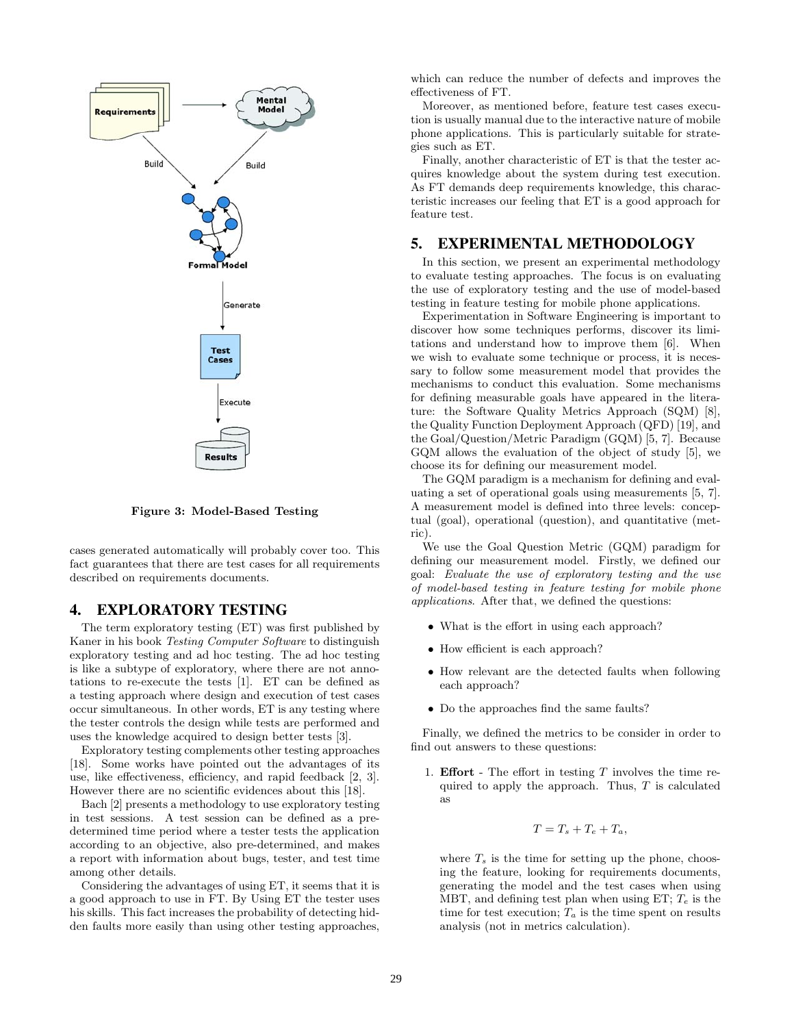

**Figure 3: Model-Based Testing**

cases generated automatically will probably cover too. This fact guarantees that there are test cases for all requirements described on requirements documents.

## 4. EXPLORATORY TESTING

The term exploratory testing (ET) was first published by Kaner in his book *Testing Computer Software* to distinguish exploratory testing and ad hoc testing. The ad hoc testing is like a subtype of exploratory, where there are not annotations to re-execute the tests [1]. ET can be defined as a testing approach where design and execution of test cases occur simultaneous. In other words, ET is any testing where the tester controls the design while tests are performed and uses the knowledge acquired to design better tests [3].

Exploratory testing complements other testing approaches [18]. Some works have pointed out the advantages of its use, like effectiveness, efficiency, and rapid feedback [2, 3]. However there are no scientific evidences about this [18].

Bach [2] presents a methodology to use exploratory testing in test sessions. A test session can be defined as a predetermined time period where a tester tests the application according to an objective, also pre-determined, and makes a report with information about bugs, tester, and test time among other details.

Considering the advantages of using ET, it seems that it is a good approach to use in FT. By Using ET the tester uses his skills. This fact increases the probability of detecting hidden faults more easily than using other testing approaches,

which can reduce the number of defects and improves the effectiveness of FT.

Moreover, as mentioned before, feature test cases execution is usually manual due to the interactive nature of mobile phone applications. This is particularly suitable for strategies such as ET.

Finally, another characteristic of ET is that the tester acquires knowledge about the system during test execution. As FT demands deep requirements knowledge, this characteristic increases our feeling that ET is a good approach for feature test.

## 5. EXPERIMENTAL METHODOLOGY

In this section, we present an experimental methodology to evaluate testing approaches. The focus is on evaluating the use of exploratory testing and the use of model-based testing in feature testing for mobile phone applications.

Experimentation in Software Engineering is important to discover how some techniques performs, discover its limitations and understand how to improve them [6]. When we wish to evaluate some technique or process, it is necessary to follow some measurement model that provides the mechanisms to conduct this evaluation. Some mechanisms for defining measurable goals have appeared in the literature: the Software Quality Metrics Approach (SQM) [8], the Quality Function Deployment Approach (QFD) [19], and the Goal/Question/Metric Paradigm (GQM) [5, 7]. Because GQM allows the evaluation of the object of study [5], we choose its for defining our measurement model.

The GQM paradigm is a mechanism for defining and evaluating a set of operational goals using measurements [5, 7]. A measurement model is defined into three levels: conceptual (goal), operational (question), and quantitative (metric).

We use the Goal Question Metric (GQM) paradigm for defining our measurement model. Firstly, we defined our goal: *Evaluate the use of exploratory testing and the use of model-based testing in feature testing for mobile phone applications*. After that, we defined the questions:

- What is the effort in using each approach?
- How efficient is each approach?
- How relevant are the detected faults when following each approach?
- Do the approaches find the same faults?

Finally, we defined the metrics to be consider in order to find out answers to these questions:

1. **Effort** - The effort in testing *T* involves the time required to apply the approach. Thus, *T* is calculated as

$$
T = T_s + T_e + T_a,
$$

where  $T_s$  is the time for setting up the phone, choosing the feature, looking for requirements documents, generating the model and the test cases when using MBT, and defining test plan when using ET; *T<sup>e</sup>* is the time for test execution;  $T_a$  is the time spent on results analysis (not in metrics calculation).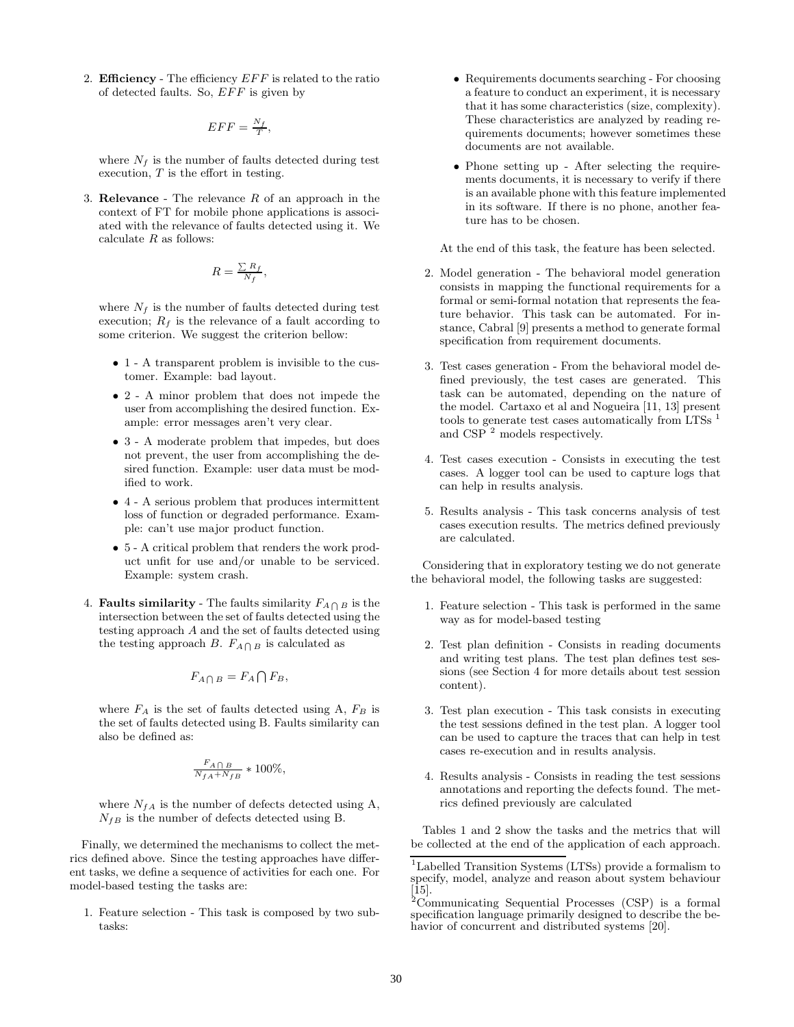2. **Efficiency** - The efficiency *EFF* is related to the ratio of detected faults. So, *EFF* is given by

$$
EFF = \frac{N_f}{T},
$$

where  $N_f$  is the number of faults detected during test execution, *T* is the effort in testing.

3. **Relevance** - The relevance *R* of an approach in the context of FT for mobile phone applications is associated with the relevance of faults detected using it. We calculate *R* as follows:

$$
R = \frac{\sum R_f}{N_f},
$$

where  $N_f$  is the number of faults detected during test execution;  $R_f$  is the relevance of a fault according to some criterion. We suggest the criterion bellow:

- 1 A transparent problem is invisible to the customer. Example: bad layout.
- 2 A minor problem that does not impede the user from accomplishing the desired function. Example: error messages aren't very clear.
- 3 A moderate problem that impedes, but does not prevent, the user from accomplishing the desired function. Example: user data must be modified to work.
- 4 A serious problem that produces intermittent loss of function or degraded performance. Example: can't use major product function.
- 5 A critical problem that renders the work product unfit for use and/or unable to be serviced. Example: system crash.
- 4. **Faults similarity** The faults similarity  $F_{A \cap B}$  is the intersection between the set of faults detected using the testing approach *A* and the set of faults detected using the testing approach *B*.  $F_{A \bigcap B}$  is calculated as

$$
F_{A \bigcap B} = F_A \bigcap F_B,
$$

where  $F_A$  is the set of faults detected using A,  $F_B$  is the set of faults detected using B. Faults similarity can also be defined as:

$$
\tfrac{F_{A\bigcap B}}{N_{fA}+N_{fB}}*100\%,
$$

where  $N_{fA}$  is the number of defects detected using A,  $N_{fB}$  is the number of defects detected using B.

Finally, we determined the mechanisms to collect the metrics defined above. Since the testing approaches have different tasks, we define a sequence of activities for each one. For model-based testing the tasks are:

1. Feature selection - This task is composed by two subtasks:

- Requirements documents searching For choosing a feature to conduct an experiment, it is necessary that it has some characteristics (size, complexity). These characteristics are analyzed by reading requirements documents; however sometimes these documents are not available.
- Phone setting up After selecting the requirements documents, it is necessary to verify if there is an available phone with this feature implemented in its software. If there is no phone, another feature has to be chosen.

At the end of this task, the feature has been selected.

- 2. Model generation The behavioral model generation consists in mapping the functional requirements for a formal or semi-formal notation that represents the feature behavior. This task can be automated. For instance, Cabral [9] presents a method to generate formal specification from requirement documents.
- 3. Test cases generation From the behavioral model defined previously, the test cases are generated. This task can be automated, depending on the nature of the model. Cartaxo et al and Nogueira [11, 13] present tools to generate test cases automatically from LTSs  $<sup>1</sup>$ </sup> and  $CSP<sup>2</sup>$  models respectively.
- 4. Test cases execution Consists in executing the test cases. A logger tool can be used to capture logs that can help in results analysis.
- 5. Results analysis This task concerns analysis of test cases execution results. The metrics defined previously are calculated.

Considering that in exploratory testing we do not generate the behavioral model, the following tasks are suggested:

- 1. Feature selection This task is performed in the same way as for model-based testing
- 2. Test plan definition Consists in reading documents and writing test plans. The test plan defines test sessions (see Section 4 for more details about test session content).
- 3. Test plan execution This task consists in executing the test sessions defined in the test plan. A logger tool can be used to capture the traces that can help in test cases re-execution and in results analysis.
- 4. Results analysis Consists in reading the test sessions annotations and reporting the defects found. The metrics defined previously are calculated

Tables 1 and 2 show the tasks and the metrics that will be collected at the end of the application of each approach.

<sup>1</sup>Labelled Transition Systems (LTSs) provide a formalism to specify, model, analyze and reason about system behaviour [15].

<sup>2</sup>Communicating Sequential Processes (CSP) is a formal specification language primarily designed to describe the behavior of concurrent and distributed systems [20].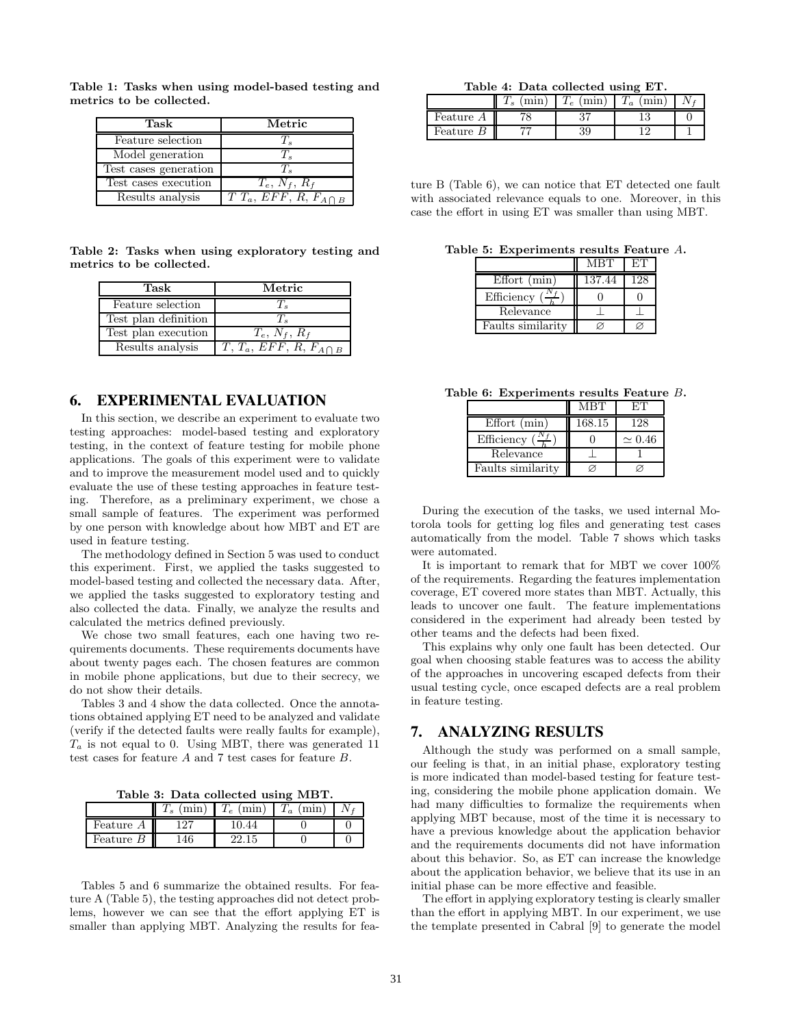| Task                  | Metric                      |
|-----------------------|-----------------------------|
| Feature selection     |                             |
| Model generation      |                             |
| Test cases generation |                             |
| Test cases execution  | $T_e, N_f, R_f$             |
| Results analysis      | $TT_a, EFF, R, F_{A\cap B}$ |

**Table 1: Tasks when using model-based testing and metrics to be collected.**

**Table 2: Tasks when using exploratory testing and metrics to be collected.**

| Task                 | Metric                        |
|----------------------|-------------------------------|
| Feature selection    |                               |
| Test plan definition |                               |
| Test plan execution  | $T_e, N_f, R_f$               |
| Results analysis     | $T, T_a, EFF, R, F_{A\cap B}$ |

## 6. EXPERIMENTAL EVALUATION

In this section, we describe an experiment to evaluate two testing approaches: model-based testing and exploratory testing, in the context of feature testing for mobile phone applications. The goals of this experiment were to validate and to improve the measurement model used and to quickly evaluate the use of these testing approaches in feature testing. Therefore, as a preliminary experiment, we chose a small sample of features. The experiment was performed by one person with knowledge about how MBT and ET are used in feature testing.

The methodology defined in Section 5 was used to conduct this experiment. First, we applied the tasks suggested to model-based testing and collected the necessary data. After, we applied the tasks suggested to exploratory testing and also collected the data. Finally, we analyze the results and calculated the metrics defined previously.

We chose two small features, each one having two requirements documents. These requirements documents have about twenty pages each. The chosen features are common in mobile phone applications, but due to their secrecy, we do not show their details.

Tables 3 and 4 show the data collected. Once the annotations obtained applying ET need to be analyzed and validate (verify if the detected faults were really faults for example),  $T_a$  is not equal to 0. Using MBT, there was generated 11 test cases for feature *A* and 7 test cases for feature *B*.

**Table 3: Data collected using MBT.**

|           | min<br>Ιs | min<br>$\epsilon$ | min<br>$\boldsymbol{a}$ |  |
|-----------|-----------|-------------------|-------------------------|--|
| Feature A |           | .44               |                         |  |
| Feature~B |           | 22.15             |                         |  |

Tables 5 and 6 summarize the obtained results. For feature A (Table 5), the testing approaches did not detect problems, however we can see that the effort applying ET is smaller than applying MBT. Analyzing the results for fea-

**Table 4: Data collected using ET.**

|           | min<br>S | min<br>e | $m_1$<br>$\boldsymbol{a}$ |  |
|-----------|----------|----------|---------------------------|--|
| 'eature A |          | ບ        | €                         |  |
| Feature   | ⇁<br>-   | ১১       |                           |  |

ture B (Table 6), we can notice that ET detected one fault with associated relevance equals to one. Moreover, in this case the effort in using ET was smaller than using MBT.

**Table 5: Experiments results Feature** *A***.**

|                   | <b>MBT</b> | EТ  |
|-------------------|------------|-----|
| Effort (min)      | 137.44     | 128 |
| Efficiency        |            |     |
| Relevance         |            |     |
| Faults similarity |            |     |

**Table 6: Experiments results Feature** *B***.**

|                   | <b>MBT</b> | EТ            |
|-------------------|------------|---------------|
| Effort (min)      | 168.15     | 128           |
| Efficiency        |            | $\simeq 0.46$ |
| Relevance         |            |               |
| Faults similarity |            |               |

During the execution of the tasks, we used internal Motorola tools for getting log files and generating test cases automatically from the model. Table 7 shows which tasks were automated.

It is important to remark that for MBT we cover 100% of the requirements. Regarding the features implementation coverage, ET covered more states than MBT. Actually, this leads to uncover one fault. The feature implementations considered in the experiment had already been tested by other teams and the defects had been fixed.

This explains why only one fault has been detected. Our goal when choosing stable features was to access the ability of the approaches in uncovering escaped defects from their usual testing cycle, once escaped defects are a real problem in feature testing.

## 7. ANALYZING RESULTS

Although the study was performed on a small sample, our feeling is that, in an initial phase, exploratory testing is more indicated than model-based testing for feature testing, considering the mobile phone application domain. We had many difficulties to formalize the requirements when applying MBT because, most of the time it is necessary to have a previous knowledge about the application behavior and the requirements documents did not have information about this behavior. So, as ET can increase the knowledge about the application behavior, we believe that its use in an initial phase can be more effective and feasible.

The effort in applying exploratory testing is clearly smaller than the effort in applying MBT. In our experiment, we use the template presented in Cabral [9] to generate the model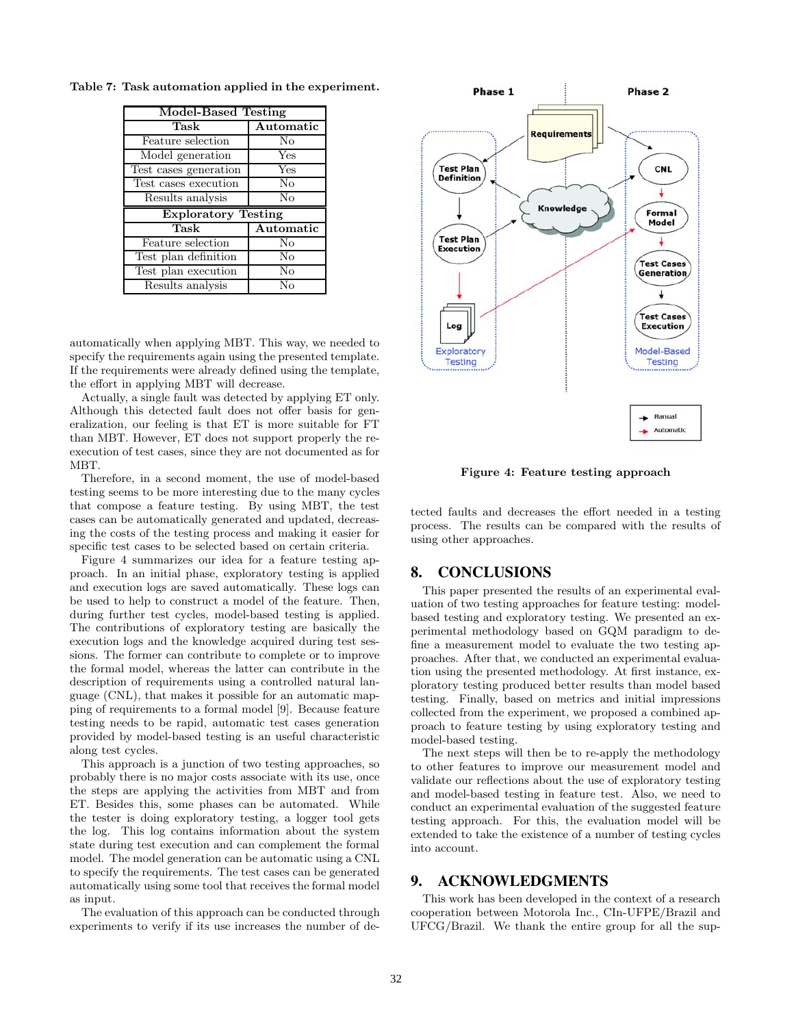| <b>Model-Based Testing</b> |                        |
|----------------------------|------------------------|
| Task                       | Automatic              |
| Feature selection          | $\rm No$               |
| Model generation           | $\bar{\chi}_{\rm{es}}$ |
| Test cases generation      | Yes                    |
| Test cases execution       | No                     |
| Results analysis           | No                     |
|                            |                        |
| <b>Exploratory Testing</b> |                        |
| Task                       | Automatic              |
| Feature selection          | No                     |
| Test plan definition       | No                     |
| Test plan execution        | No                     |

**Table 7: Task automation applied in the experiment.**

automatically when applying MBT. This way, we needed to specify the requirements again using the presented template. If the requirements were already defined using the template, the effort in applying MBT will decrease.

Actually, a single fault was detected by applying ET only. Although this detected fault does not offer basis for generalization, our feeling is that ET is more suitable for FT than MBT. However, ET does not support properly the reexecution of test cases, since they are not documented as for MBT.

Therefore, in a second moment, the use of model-based testing seems to be more interesting due to the many cycles that compose a feature testing. By using MBT, the test cases can be automatically generated and updated, decreasing the costs of the testing process and making it easier for specific test cases to be selected based on certain criteria.

Figure 4 summarizes our idea for a feature testing approach. In an initial phase, exploratory testing is applied and execution logs are saved automatically. These logs can be used to help to construct a model of the feature. Then, during further test cycles, model-based testing is applied. The contributions of exploratory testing are basically the execution logs and the knowledge acquired during test sessions. The former can contribute to complete or to improve the formal model, whereas the latter can contribute in the description of requirements using a controlled natural language (CNL), that makes it possible for an automatic mapping of requirements to a formal model [9]. Because feature testing needs to be rapid, automatic test cases generation provided by model-based testing is an useful characteristic along test cycles.

This approach is a junction of two testing approaches, so probably there is no major costs associate with its use, once the steps are applying the activities from MBT and from ET. Besides this, some phases can be automated. While the tester is doing exploratory testing, a logger tool gets the log. This log contains information about the system state during test execution and can complement the formal model. The model generation can be automatic using a CNL to specify the requirements. The test cases can be generated automatically using some tool that receives the formal model as input.

The evaluation of this approach can be conducted through experiments to verify if its use increases the number of de-



**Figure 4: Feature testing approach**

tected faults and decreases the effort needed in a testing process. The results can be compared with the results of using other approaches.

## 8. CONCLUSIONS

This paper presented the results of an experimental evaluation of two testing approaches for feature testing: modelbased testing and exploratory testing. We presented an experimental methodology based on GQM paradigm to define a measurement model to evaluate the two testing approaches. After that, we conducted an experimental evaluation using the presented methodology. At first instance, exploratory testing produced better results than model based testing. Finally, based on metrics and initial impressions collected from the experiment, we proposed a combined approach to feature testing by using exploratory testing and model-based testing.

The next steps will then be to re-apply the methodology to other features to improve our measurement model and validate our reflections about the use of exploratory testing and model-based testing in feature test. Also, we need to conduct an experimental evaluation of the suggested feature testing approach. For this, the evaluation model will be extended to take the existence of a number of testing cycles into account.

## 9. ACKNOWLEDGMENTS

This work has been developed in the context of a research cooperation between Motorola Inc., CIn-UFPE/Brazil and UFCG/Brazil. We thank the entire group for all the sup